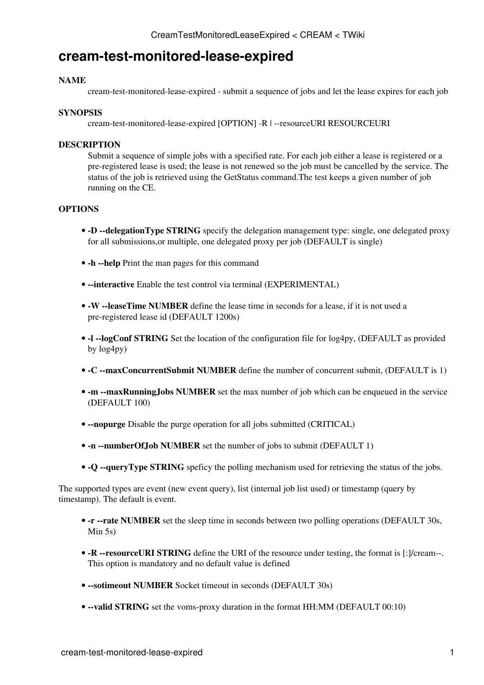# **cream-test-monitored-lease-expired**

### **NAME**

cream-test-monitored-lease-expired - submit a sequence of jobs and let the lease expires for each job

#### **SYNOPSIS**

cream-test-monitored-lease-expired [OPTION] -R | --resourceURI RESOURCEURI

### **DESCRIPTION**

Submit a sequence of simple jobs with a specified rate. For each job either a lease is registered or a pre-registered lease is used; the lease is not renewed so the job must be cancelled by the service. The status of the job is retrieved using the [GetStatus](https://wiki-igi.cnaf.infn.it/twiki/bin/edit/CREAM/GetStatus?topicparent=CREAM.CreamTestMonitoredLeaseExpired;nowysiwyg=0) command.The test keeps a given number of job running on the CE.

## **OPTIONS**

- -D --delegationType STRING specify the delegation management type: single, one delegated proxy for all submissions,or multiple, one delegated proxy per job (DEFAULT is single)
- **-h --help** Print the man pages for this command
- **--interactive** Enable the test control via terminal (EXPERIMENTAL)
- **-W** --leaseTime NUMBER define the lease time in seconds for a lease, if it is not used a pre-registered lease id (DEFAULT 1200s)
- **-l --logConf STRING** Set the location of the configuration file for log4py, (DEFAULT as provided by log4py)
- **-C --maxConcurrentSubmit NUMBER** define the number of concurrent submit, (DEFAULT is 1)
- -m --maxRunningJobs NUMBER set the max number of job which can be enqueued in the service (DEFAULT 100)
- **--nopurge** Disable the purge operation for all jobs submitted (CRITICAL)
- **-n --numberOfJob NUMBER** set the number of jobs to submit (DEFAULT 1)
- **-Q --queryType STRING** speficy the polling mechanism used for retrieving the status of the jobs.

The supported types are event (new event query), list (internal job list used) or timestamp (query by timestamp). The default is event.

- - r --rate NUMBER set the sleep time in seconds between two polling operations (DEFAULT 30s, Min 5s)
- -R --resourceURI STRING define the URI of the resource under testing, the format is [:]/cream--. This option is mandatory and no default value is defined
- **--sotimeout NUMBER** Socket timeout in seconds (DEFAULT 30s)
- **--valid STRING** set the voms-proxy duration in the format HH:MM (DEFAULT 00:10)